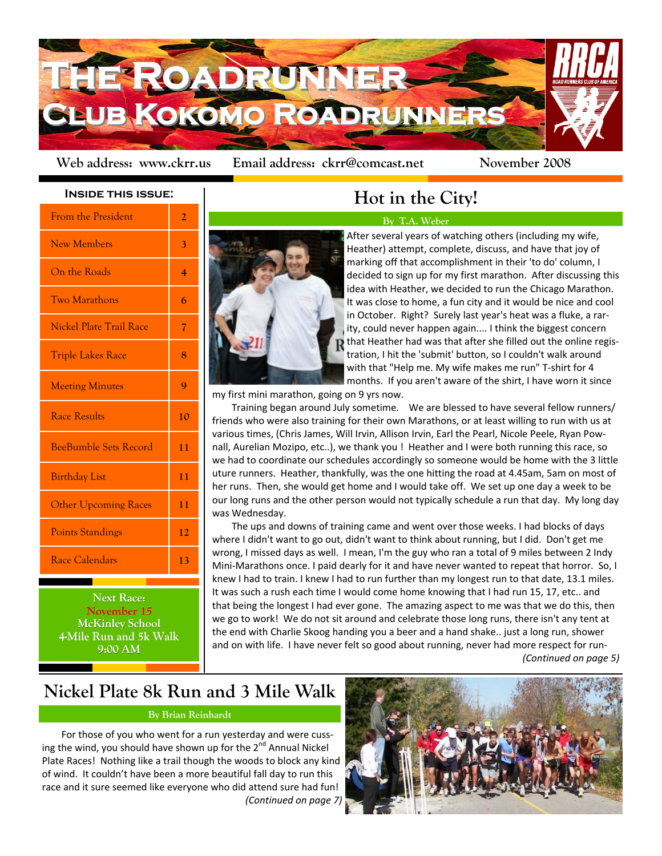

Web address: www.ckrr.us Email address: ckrr@comcast.net November 2008

## **Inside this issue:**

| <b>From the President</b>      | $\overline{2}$ |
|--------------------------------|----------------|
| <b>New Members</b>             | 3              |
| On the Roads                   | 4              |
| <b>Two Marathons</b>           | 6              |
| <b>Nickel Plate Trail Race</b> | 7              |
| <b>Triple Lakes Race</b>       | 8              |
| <b>Meeting Minutes</b>         | 9              |
| <b>Race Results</b>            | 10             |
| <b>BeeBumble Sets Record</b>   | 11             |
| <b>Birthday List</b>           | 11             |
| <b>Other Upcoming Races</b>    | 11             |
| <b>Points Standings</b>        | 12             |
| Race Calendars                 | 13             |

**Next Race: November 15 November 15 McKinley School 4-Mile Run and 5k Walk Mile Run and 5k Walk 9:00 AM**

# **Hot in the City!**

# **By T.A. Weber**



After several years of watching others (including my wife, Heather) attempt, complete, discuss, and have that joy of marking off that accomplishment in their 'to do' column, I decided to sign up for my first marathon. After discussing this idea with Heather, we decided to run the Chicago Marathon. It was close to home, a fun city and it would be nice and cool in October. Right? Surely last year's heat was a fluke, a rar‐ ity, could never happen again.... I think the biggest concern  $\mathbf R$  that Heather had was that after she filled out the online registration, I hit the 'submit' button, so I couldn't walk around with that "Help me. My wife makes me run" T‐shirt for 4 months. If you aren't aware of the shirt, I have worn it since

my first mini marathon, going on 9 yrs now.

Training began around July sometime. We are blessed to have several fellow runners/ friends who were also training for their own Marathons, or at least willing to run with us at various times, (Chris James, Will Irvin, Allison Irvin, Earl the Pearl, Nicole Peele, Ryan Pow‐ nall, Aurelian Mozipo, etc..), we thank you ! Heather and I were both running this race, so we had to coordinate our schedules accordingly so someone would be home with the 3 little uture runners. Heather, thankfully, was the one hitting the road at 4.45am, 5am on most of her runs. Then, she would get home and I would take off. We set up one day a week to be our long runs and the other person would not typically schedule a run that day. My long day was Wednesday.

The ups and downs of training came and went over those weeks. I had blocks of days where I didn't want to go out, didn't want to think about running, but I did. Don't get me wrong, I missed days as well. I mean, I'm the guy who ran a total of 9 miles between 2 Indy Mini-Marathons once. I paid dearly for it and have never wanted to repeat that horror. So, I knew I had to train. I knew I had to run further than my longest run to that date, 13.1 miles. It was such a rush each time I would come home knowing that I had run 15, 17, etc.. and that being the longest I had ever gone. The amazing aspect to me was that we do this, then we go to work! We do not sit around and celebrate those long runs, there isn't any tent at the end with Charlie Skoog handing you a beer and a hand shake.. just a long run, shower and on with life. I have never felt so good about running, never had more respect for run-*(Continued on page 5)*

# **Nickel Plate 8k Run and 3 Mile Walk**

# **By Brian Reinhardt**

For those of you who went for a run yesterday and were cussing the wind, you should have shown up for the 2<sup>nd</sup> Annual Nickel Plate Races! Nothing like a trail though the woods to block any kind of wind. It couldn't have been a more beautiful fall day to run this race and it sure seemed like everyone who did attend sure had fun! *(Continued on page 7)*

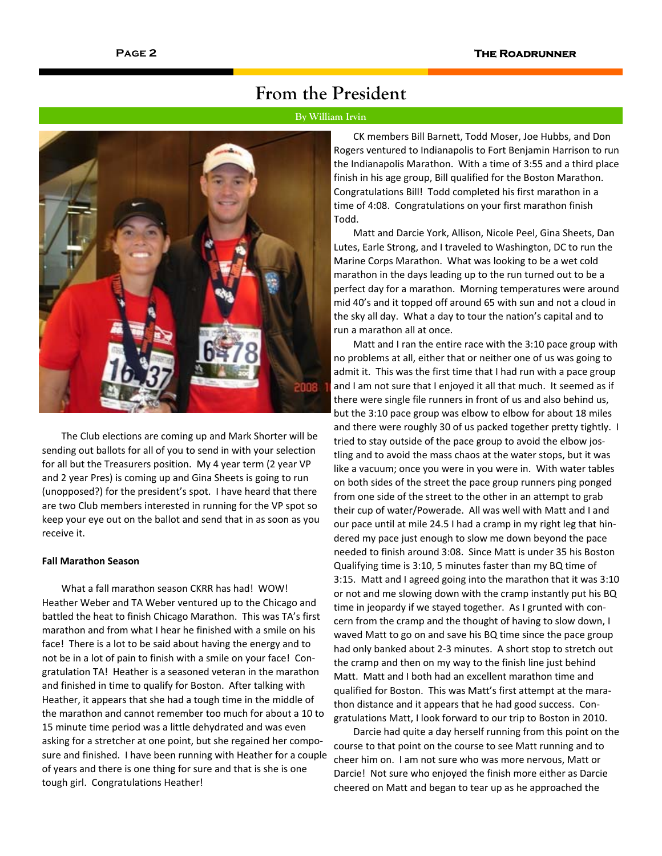# **From the President**

# **By William Irvin**



The Club elections are coming up and Mark Shorter will be sending out ballots for all of you to send in with your selection for all but the Treasurers position. My 4 year term (2 year VP and 2 year Pres) is coming up and Gina Sheets is going to run (unopposed?) for the president's spot. I have heard that there are two Club members interested in running for the VP spot so keep your eye out on the ballot and send that in as soon as you receive it.

## **Fall Marathon Season**

What a fall marathon season CKRR has had! WOW! Heather Weber and TA Weber ventured up to the Chicago and battled the heat to finish Chicago Marathon. This was TA's first marathon and from what I hear he finished with a smile on his face! There is a lot to be said about having the energy and to not be in a lot of pain to finish with a smile on your face! Con‐ gratulation TA! Heather is a seasoned veteran in the marathon and finished in time to qualify for Boston. After talking with Heather, it appears that she had a tough time in the middle of the marathon and cannot remember too much for about a 10 to 15 minute time period was a little dehydrated and was even asking for a stretcher at one point, but she regained her composure and finished. I have been running with Heather for a couple of years and there is one thing for sure and that is she is one tough girl. Congratulations Heather!

CK members Bill Barnett, Todd Moser, Joe Hubbs, and Don Rogers ventured to Indianapolis to Fort Benjamin Harrison to run the Indianapolis Marathon. With a time of 3:55 and a third place finish in his age group, Bill qualified for the Boston Marathon. Congratulations Bill! Todd completed his first marathon in a time of 4:08. Congratulations on your first marathon finish Todd.

Matt and Darcie York, Allison, Nicole Peel, Gina Sheets, Dan Lutes, Earle Strong, and I traveled to Washington, DC to run the Marine Corps Marathon. What was looking to be a wet cold marathon in the days leading up to the run turned out to be a perfect day for a marathon. Morning temperatures were around mid 40's and it topped off around 65 with sun and not a cloud in the sky all day. What a day to tour the nation's capital and to run a marathon all at once.

Matt and I ran the entire race with the 3:10 pace group with no problems at all, either that or neither one of us was going to admit it. This was the first time that I had run with a pace group and I am not sure that I enjoyed it all that much. It seemed as if there were single file runners in front of us and also behind us, but the 3:10 pace group was elbow to elbow for about 18 miles and there were roughly 30 of us packed together pretty tightly. I tried to stay outside of the pace group to avoid the elbow jostling and to avoid the mass chaos at the water stops, but it was like a vacuum; once you were in you were in. With water tables on both sides of the street the pace group runners ping ponged from one side of the street to the other in an attempt to grab their cup of water/Powerade. All was well with Matt and I and our pace until at mile 24.5 I had a cramp in my right leg that hin‐ dered my pace just enough to slow me down beyond the pace needed to finish around 3:08. Since Matt is under 35 his Boston Qualifying time is 3:10, 5 minutes faster than my BQ time of 3:15. Matt and I agreed going into the marathon that it was 3:10 or not and me slowing down with the cramp instantly put his BQ time in jeopardy if we stayed together. As I grunted with con‐ cern from the cramp and the thought of having to slow down, I waved Matt to go on and save his BQ time since the pace group had only banked about 2-3 minutes. A short stop to stretch out the cramp and then on my way to the finish line just behind Matt. Matt and I both had an excellent marathon time and qualified for Boston. This was Matt's first attempt at the mara‐ thon distance and it appears that he had good success. Con‐ gratulations Matt, I look forward to our trip to Boston in 2010.

Darcie had quite a day herself running from this point on the course to that point on the course to see Matt running and to cheer him on. I am not sure who was more nervous, Matt or Darcie! Not sure who enjoyed the finish more either as Darcie cheered on Matt and began to tear up as he approached the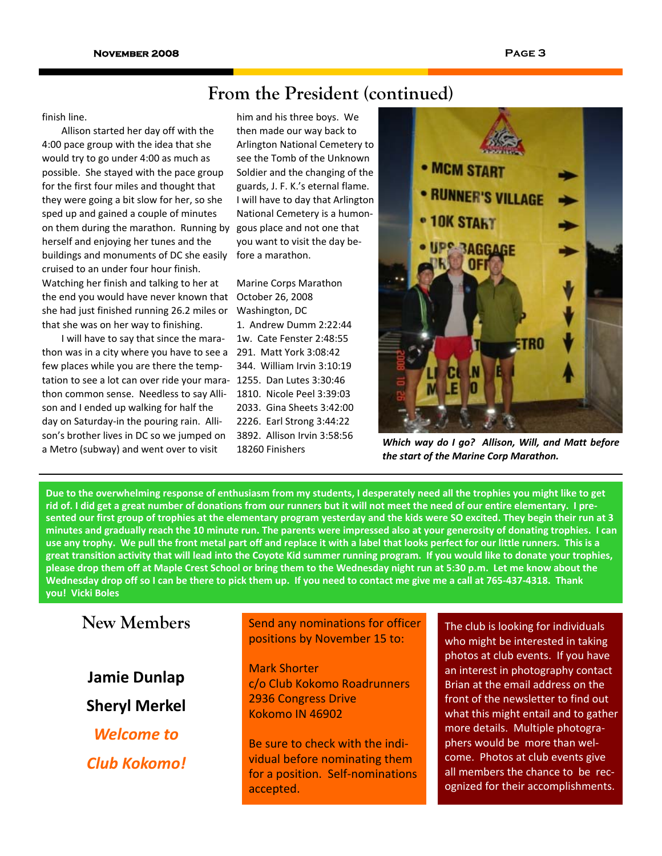# **From the President (continued)**

## finish line.

Allison started her day off with the 4:00 pace group with the idea that she would try to go under 4:00 as much as possible. She stayed with the pace group for the first four miles and thought that they were going a bit slow for her, so she sped up and gained a couple of minutes on them during the marathon. Running by herself and enjoying her tunes and the buildings and monuments of DC she easily cruised to an under four hour finish. Watching her finish and talking to her at the end you would have never known that she had just finished running 26.2 miles or that she was on her way to finishing.

I will have to say that since the mara‐ thon was in a city where you have to see a few places while you are there the temp‐ tation to see a lot can over ride your mara‐ 1255. Dan Lutes 3:30:46 thon common sense. Needless to say Alli‐ son and I ended up walking for half the day on Saturday‐in the pouring rain. Alli‐ son's brother lives in DC so we jumped on a Metro (subway) and went over to visit

him and his three boys. We then made our way back to Arlington National Cemetery to see the Tomb of the Unknown Soldier and the changing of the guards, J. F. K.'s eternal flame. I will have to day that Arlington National Cemetery is a humon‐ gous place and not one that you want to visit the day be‐ fore a marathon.

Marine Corps Marathon October 26, 2008 Washington, DC 1. Andrew Dumm 2:22:44 1w. Cate Fenster 2:48:55 291. Matt York 3:08:42 344. William Irvin 3:10:19 1810. Nicole Peel 3:39:03 2033. Gina Sheets 3:42:00 2226. Earl Strong 3:44:22 3892. Allison Irvin 3:58:56 18260 Finishers



*Which way do I go? Allison, Will, and Matt before the start of the Marine Corp Marathon.*

Due to the overwhelming response of enthusiasm from my students, I desperately need all the trophies you might like to get rid of. I did get a great number of donations from our runners but it will not meet the need of our entire elementary. I presented our first group of trophies at the elementary program yesterday and the kids were SO excited. They begin their run at 3 minutes and gradually reach the 10 minute run. The parents were impressed also at your generosity of donating trophies. I can use any trophy. We pull the front metal part off and replace it with a label that looks perfect for our little runners. This is a great transition activity that will lead into the Coyote Kid summer running program. If you would like to donate your trophies, please drop them off at Maple Crest School or bring them to the Wednesday night run at 5:30 p.m. Let me know about the Wednesday drop off so I can be there to pick them up. If you need to contact me give me a call at 765-437-4318. Thank **you! Vicki Boles**

# **New Members**

**Jamie Dunlap Sheryl Merkel** *Welcome to Club Kokomo!* Send any nominations for officer positions by November 15 to:

Mark Shorter c/o Club Kokomo Roadrunners 2936 Congress Drive Kokomo IN 46902

Be sure to check with the indi‐ vidual before nominating them for a position. Self-nominations accepted.

The club is looking for individuals who might be interested in taking photos at club events. If you have an interest in photography contact Brian at the email address on the front of the newsletter to find out what this might entail and to gather more details. Multiple photogra‐ phers would be more than wel‐ come. Photos at club events give all members the chance to be recognized for their accomplishments.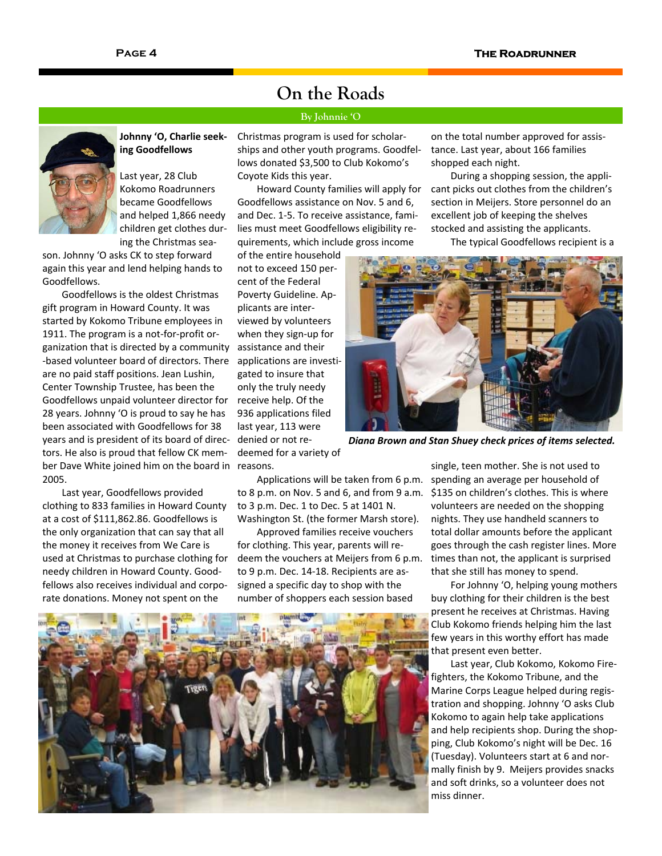## **Johnny 'O, Charlie seek‐ ing Goodfellows**

Last year, 28 Club Kokomo Roadrunners became Goodfellows and helped 1,866 needy children get clothes dur‐ ing the Christmas sea‐

son. Johnny 'O asks CK to step forward again this year and lend helping hands to Goodfellows.

Goodfellows is the oldest Christmas gift program in Howard County. It was started by Kokomo Tribune employees in 1911. The program is a not‐for‐profit or‐ ganization that is directed by a community ‐based volunteer board of directors. There are no paid staff positions. Jean Lushin, Center Township Trustee, has been the Goodfellows unpaid volunteer director for 28 years. Johnny 'O is proud to say he has been associated with Goodfellows for 38 years and is president of its board of direc‐ tors. He also is proud that fellow CK mem‐ ber Dave White joined him on the board in 2005.

Last year, Goodfellows provided clothing to 833 families in Howard County at a cost of \$111,862.86. Goodfellows is the only organization that can say that all the money it receives from We Care is used at Christmas to purchase clothing for needy children in Howard County. Good‐ fellows also receives individual and corpo‐ rate donations. Money not spent on the

Christmas program is used for scholar‐ ships and other youth programs. Goodfel‐ lows donated \$3,500 to Club Kokomo's Coyote Kids this year.

**On the Roads** 

**By Johnnie 'O** 

Howard County families will apply for Goodfellows assistance on Nov. 5 and 6, and Dec. 1‐5. To receive assistance, fami‐ lies must meet Goodfellows eligibility re‐ quirements, which include gross income

of the entire household not to exceed 150 per‐ cent of the Federal Poverty Guideline. Ap‐ plicants are inter‐ viewed by volunteers when they sign‐up for assistance and their applications are investi‐ gated to insure that only the truly needy receive help. Of the 936 applications filed last year, 113 were denied or not re‐ deemed for a variety of reasons.

on the total number approved for assis‐ tance. Last year, about 166 families shopped each night.

During a shopping session, the appli‐ cant picks out clothes from the children's section in Meijers. Store personnel do an excellent job of keeping the shelves stocked and assisting the applicants.

The typical Goodfellows recipient is a



*Diana Brown and Stan Shuey check prices of items selected.*

Applications will be taken from 6 p.m. to 8 p.m. on Nov. 5 and 6, and from 9 a.m. to 3 p.m. Dec. 1 to Dec. 5 at 1401 N. Washington St. (the former Marsh store).

Approved families receive vouchers for clothing. This year, parents will re‐ deem the vouchers at Meijers from 6 p.m. to 9 p.m. Dec. 14‐18. Recipients are as‐ signed a specific day to shop with the number of shoppers each session based

single, teen mother. She is not used to spending an average per household of \$135 on children's clothes. This is where volunteers are needed on the shopping nights. They use handheld scanners to total dollar amounts before the applicant goes through the cash register lines. More times than not, the applicant is surprised that she still has money to spend.

For Johnny 'O, helping young mothers buy clothing for their children is the best present he receives at Christmas. Having Club Kokomo friends helping him the last few years in this worthy effort has made that present even better.

Last year, Club Kokomo, Kokomo Fire‐ fighters, the Kokomo Tribune, and the Marine Corps League helped during regis‐ tration and shopping. Johnny 'O asks Club Kokomo to again help take applications and help recipients shop. During the shop‐ ping, Club Kokomo's night will be Dec. 16 (Tuesday). Volunteers start at 6 and nor‐ mally finish by 9. Meijers provides snacks and soft drinks, so a volunteer does not miss dinner.

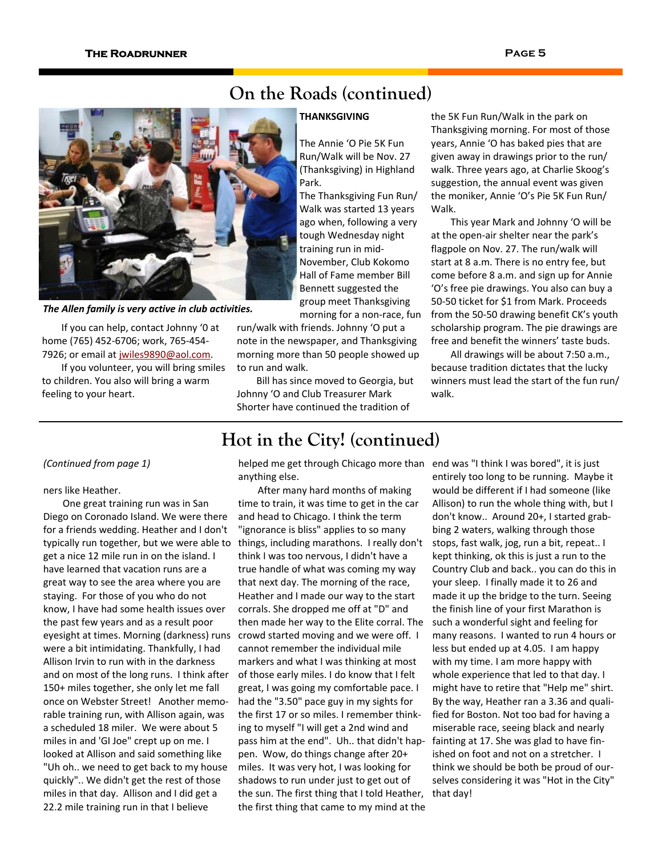# **On the Roads (continued)**

*The Allen family is very active in club activities.*

If you can help, contact Johnny '0 at home (765) 452‐6706; work, 765‐454‐ 7926; or email at jwiles9890@aol.com.

If you volunteer, you will bring smiles to children. You also will bring a warm feeling to your heart.

# **THANKSGIVING**

The Annie 'O Pie 5K Fun Run/Walk will be Nov. 27 (Thanksgiving) in Highland Park.

The Thanksgiving Fun Run/ Walk was started 13 years ago when, following a very tough Wednesday night training run in mid‐ November, Club Kokomo Hall of Fame member Bill Bennett suggested the group meet Thanksgiving morning for a non‐race, fun

run/walk with friends. Johnny 'O put a note in the newspaper, and Thanksgiving morning more than 50 people showed up to run and walk.

Bill has since moved to Georgia, but Johnny 'O and Club Treasurer Mark Shorter have continued the tradition of

# the 5K Fun Run/Walk in the park on Thanksgiving morning. For most of those years, Annie 'O has baked pies that are given away in drawings prior to the run/ walk. Three years ago, at Charlie Skoog's suggestion, the annual event was given the moniker, Annie 'O's Pie 5K Fun Run/ Walk.

This year Mark and Johnny 'O will be at the open‐air shelter near the park's flagpole on Nov. 27. The run/walk will start at 8 a.m. There is no entry fee, but come before 8 a.m. and sign up for Annie 'O's free pie drawings. You also can buy a 50‐50 ticket for \$1 from Mark. Proceeds from the 50‐50 drawing benefit CK's youth scholarship program. The pie drawings are free and benefit the winners' taste buds.

All drawings will be about 7:50 a.m., because tradition dictates that the lucky winners must lead the start of the fun run/ walk.

# *(Continued from page 1)*

# ners like Heather.

One great training run was in San Diego on Coronado Island. We were there for a friends wedding. Heather and I don't typically run together, but we were able to get a nice 12 mile run in on the island. I have learned that vacation runs are a great way to see the area where you are staying. For those of you who do not know, I have had some health issues over the past few years and as a result poor eyesight at times. Morning (darkness) runs were a bit intimidating. Thankfully, I had Allison Irvin to run with in the darkness and on most of the long runs. I think after 150+ miles together, she only let me fall once on Webster Street! Another memo‐ rable training run, with Allison again, was a scheduled 18 miler. We were about 5 miles in and 'GI Joe" crept up on me. I looked at Allison and said something like "Uh oh.. we need to get back to my house quickly".. We didn't get the rest of those miles in that day. Allison and I did get a 22.2 mile training run in that I believe

helped me get through Chicago more than end was "I think I was bored", it is just anything else.

**Hot in the City! (continued)** 

After many hard months of making time to train, it was time to get in the car and head to Chicago. I think the term "ignorance is bliss" applies to so many things, including marathons. I really don't think I was too nervous, I didn't have a true handle of what was coming my way that next day. The morning of the race, Heather and I made our way to the start corrals. She dropped me off at "D" and then made her way to the Elite corral. The crowd started moving and we were off. I cannot remember the individual mile markers and what I was thinking at most of those early miles. I do know that I felt great, I was going my comfortable pace. I had the "3.50" pace guy in my sights for the first 17 or so miles. I remember think‐ ing to myself "I will get a 2nd wind and pass him at the end". Uh.. that didn't hap‐ pen. Wow, do things change after 20+ miles. It was very hot, I was looking for shadows to run under just to get out of the sun. The first thing that I told Heather, the first thing that came to my mind at the entirely too long to be running. Maybe it would be different if I had someone (like Allison) to run the whole thing with, but I don't know.. Around 20+, I started grab‐ bing 2 waters, walking through those stops, fast walk, jog, run a bit, repeat.. I kept thinking, ok this is just a run to the Country Club and back.. you can do this in your sleep. I finally made it to 26 and made it up the bridge to the turn. Seeing the finish line of your first Marathon is such a wonderful sight and feeling for many reasons. I wanted to run 4 hours or less but ended up at 4.05. I am happy with my time. I am more happy with whole experience that led to that day. I might have to retire that "Help me" shirt. By the way, Heather ran a 3.36 and quali‐ fied for Boston. Not too bad for having a miserable race, seeing black and nearly fainting at 17. She was glad to have fin‐ ished on foot and not on a stretcher. I think we should be both be proud of our‐ selves considering it was "Hot in the City" that day!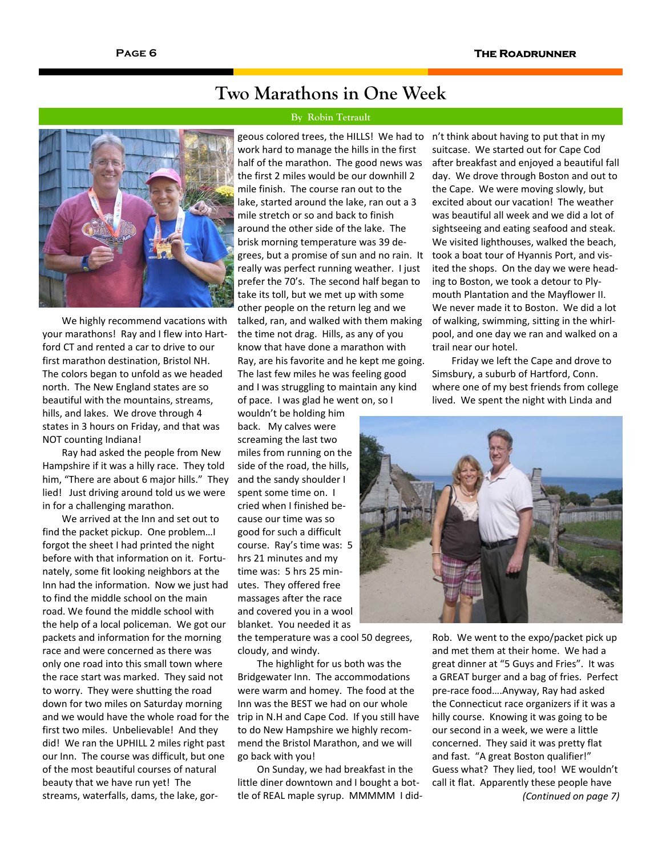# **Two Marathons in One Week**

## **By Robin Tetrault**

We highly recommend vacations with your marathons! Ray and I flew into Hart‐ ford CT and rented a car to drive to our first marathon destination, Bristol NH. The colors began to unfold as we headed north. The New England states are so beautiful with the mountains, streams, hills, and lakes. We drove through 4 states in 3 hours on Friday, and that was NOT counting Indiana!

Ray had asked the people from New Hampshire if it was a hilly race. They told him, "There are about 6 major hills." They lied! Just driving around told us we were in for a challenging marathon.

We arrived at the Inn and set out to find the packet pickup. One problem…I forgot the sheet I had printed the night before with that information on it. Fortu‐ nately, some fit looking neighbors at the Inn had the information. Now we just had to find the middle school on the main road. We found the middle school with the help of a local policeman. We got our packets and information for the morning race and were concerned as there was only one road into this small town where the race start was marked. They said not to worry. They were shutting the road down for two miles on Saturday morning and we would have the whole road for the first two miles. Unbelievable! And they did! We ran the UPHILL 2 miles right past our Inn. The course was difficult, but one of the most beautiful courses of natural beauty that we have run yet! The streams, waterfalls, dams, the lake, gor‐

work hard to manage the hills in the first half of the marathon. The good news was the first 2 miles would be our downhill 2 mile finish. The course ran out to the lake, started around the lake, ran out a 3 mile stretch or so and back to finish around the other side of the lake. The brisk morning temperature was 39 de‐ grees, but a promise of sun and no rain. It really was perfect running weather. I just prefer the 70's. The second half began to take its toll, but we met up with some other people on the return leg and we talked, ran, and walked with them making the time not drag. Hills, as any of you know that have done a marathon with Ray, are his favorite and he kept me going. The last few miles he was feeling good and I was struggling to maintain any kind of pace. I was glad he went on, so I

wouldn't be holding him back. My calves were screaming the last two miles from running on the side of the road, the hills, and the sandy shoulder I spent some time on. I cried when I finished be‐ cause our time was so good for such a difficult course. Ray's time was: 5 hrs 21 minutes and my time was: 5 hrs 25 min‐ utes. They offered free massages after the race and covered you in a wool blanket. You needed it as

the temperature was a cool 50 degrees, cloudy, and windy.

The highlight for us both was the Bridgewater Inn. The accommodations were warm and homey. The food at the Inn was the BEST we had on our whole trip in N.H and Cape Cod. If you still have to do New Hampshire we highly recom‐ mend the Bristol Marathon, and we will go back with you!

On Sunday, we had breakfast in the little diner downtown and I bought a bot‐ tle of REAL maple syrup. MMMMM I did‐

geous colored trees, the HILLS! We had to n't think about having to put that in my suitcase. We started out for Cape Cod after breakfast and enjoyed a beautiful fall day. We drove through Boston and out to the Cape. We were moving slowly, but excited about our vacation! The weather was beautiful all week and we did a lot of sightseeing and eating seafood and steak. We visited lighthouses, walked the beach, took a boat tour of Hyannis Port, and vis‐ ited the shops. On the day we were head‐ ing to Boston, we took a detour to Ply‐ mouth Plantation and the Mayflower II. We never made it to Boston. We did a lot of walking, swimming, sitting in the whirl‐ pool, and one day we ran and walked on a trail near our hotel.

> Friday we left the Cape and drove to Simsbury, a suburb of Hartford, Conn. where one of my best friends from college lived. We spent the night with Linda and



Rob. We went to the expo/packet pick up and met them at their home. We had a great dinner at "5 Guys and Fries". It was a GREAT burger and a bag of fries. Perfect pre‐race food….Anyway, Ray had asked the Connecticut race organizers if it was a hilly course. Knowing it was going to be our second in a week, we were a little concerned. They said it was pretty flat and fast. "A great Boston qualifier!" Guess what? They lied, too! WE wouldn't call it flat. Apparently these people have *(Continued on page 7)*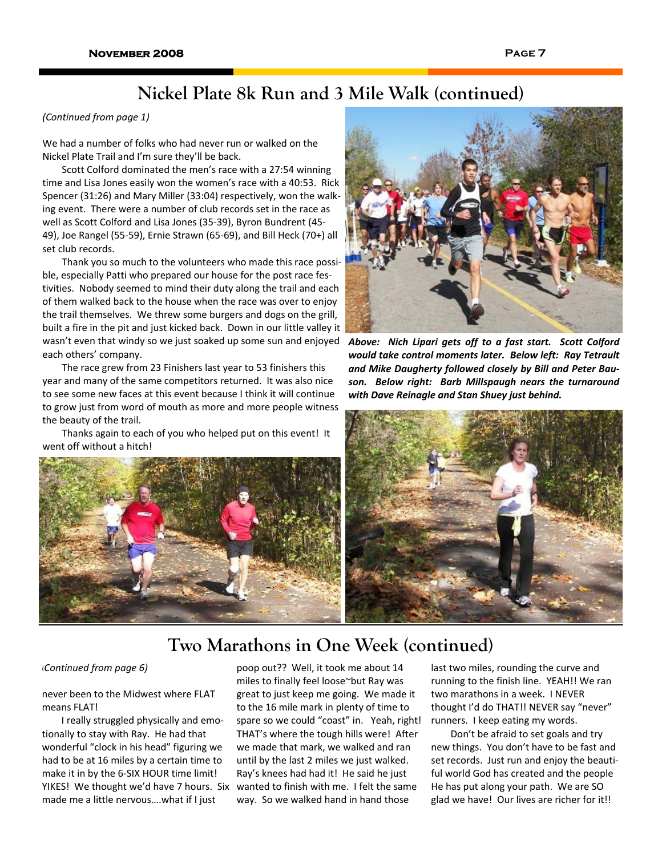# **Nickel Plate 8k Run and 3 Mile Walk (continued)**

# *(Continued from page 1)*

We had a number of folks who had never run or walked on the Nickel Plate Trail and I'm sure they'll be back.

Scott Colford dominated the men's race with a 27:54 winning time and Lisa Jones easily won the women's race with a 40:53. Rick Spencer (31:26) and Mary Miller (33:04) respectively, won the walk‐ ing event. There were a number of club records set in the race as well as Scott Colford and Lisa Jones (35‐39), Byron Bundrent (45‐ 49), Joe Rangel (55‐59), Ernie Strawn (65‐69), and Bill Heck (70+) all set club records.

Thank you so much to the volunteers who made this race possi‐ ble, especially Patti who prepared our house for the post race festivities. Nobody seemed to mind their duty along the trail and each of them walked back to the house when the race was over to enjoy the trail themselves. We threw some burgers and dogs on the grill, built a fire in the pit and just kicked back. Down in our little valley it wasn't even that windy so we just soaked up some sun and enjoyed *Above: Nich Lipari gets off to a fast start. Scott Colford* each others' company.

The race grew from 23 Finishers last year to 53 finishers this year and many of the same competitors returned. It was also nice to see some new faces at this event because I think it will continue to grow just from word of mouth as more and more people witness the beauty of the trail.

Thanks again to each of you who helped put on this event! It went off without a hitch!





*would take control moments later. Below left: Ray Tetrault and Mike Daugherty followed closely by Bill and Peter Bau‐ son. Below right: Barb Millspaugh nears the turnaround with Dave Reinagle and Stan Shuey just behind.*



# **Two Marathons in One Week (continued)**

never been to the Midwest where FLAT means FLAT!

I really struggled physically and emo‐ tionally to stay with Ray. He had that wonderful "clock in his head" figuring we had to be at 16 miles by a certain time to make it in by the 6‐SIX HOUR time limit! YIKES! We thought we'd have 7 hours. Six made me a little nervous….what if I just

*(Continued from page 6)* poop out?? Well, it took me about 14 miles to finally feel loose~but Ray was great to just keep me going. We made it to the 16 mile mark in plenty of time to spare so we could "coast" in. Yeah, right! THAT's where the tough hills were! After we made that mark, we walked and ran until by the last 2 miles we just walked. Ray's knees had had it! He said he just wanted to finish with me. I felt the same way. So we walked hand in hand those

last two miles, rounding the curve and running to the finish line. YEAH!! We ran two marathons in a week. I NEVER thought I'd do THAT!! NEVER say "never" runners. I keep eating my words.

Don't be afraid to set goals and try new things. You don't have to be fast and set records. Just run and enjoy the beautiful world God has created and the people He has put along your path. We are SO glad we have! Our lives are richer for it!!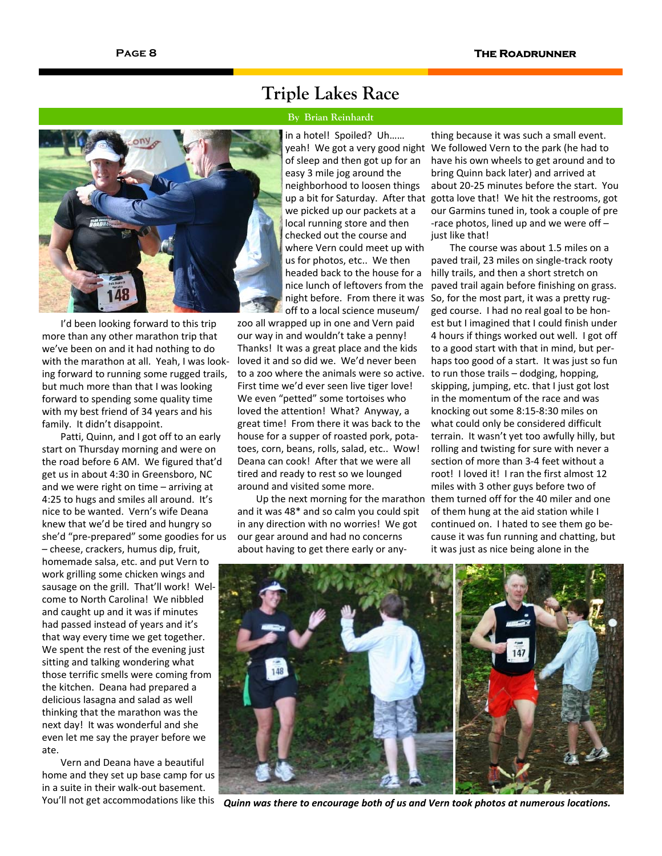I'd been looking forward to this trip more than any other marathon trip that we've been on and it had nothing to do with the marathon at all. Yeah, I was look‐ ing forward to running some rugged trails, but much more than that I was looking forward to spending some quality time with my best friend of 34 years and his family. It didn't disappoint.

Patti, Quinn, and I got off to an early start on Thursday morning and were on the road before 6 AM. We figured that'd get us in about 4:30 in Greensboro, NC and we were right on time – arriving at 4:25 to hugs and smiles all around. It's nice to be wanted. Vern's wife Deana knew that we'd be tired and hungry so she'd "pre‐prepared" some goodies for us – cheese, crackers, humus dip, fruit, homemade salsa, etc. and put Vern to work grilling some chicken wings and sausage on the grill. That'll work! Wel‐ come to North Carolina! We nibbled and caught up and it was if minutes had passed instead of years and it's that way every time we get together. We spent the rest of the evening just sitting and talking wondering what those terrific smells were coming from the kitchen. Deana had prepared a delicious lasagna and salad as well thinking that the marathon was the next day! It was wonderful and she even let me say the prayer before we ate.

Vern and Deana have a beautiful home and they set up base camp for us in a suite in their walk‐out basement. You'll not get accommodations like this

# **Triple Lakes Race**

## **By Brian Reinhardt**

in a hotel! Spoiled? Uh…… yeah! We got a very good night of sleep and then got up for an easy 3 mile jog around the neighborhood to loosen things up a bit for Saturday. After that we picked up our packets at a local running store and then checked out the course and where Vern could meet up with us for photos, etc.. We then headed back to the house for a nice lunch of leftovers from the night before. From there it was off to a local science museum/

zoo all wrapped up in one and Vern paid our way in and wouldn't take a penny! Thanks! It was a great place and the kids loved it and so did we. We'd never been to a zoo where the animals were so active. First time we'd ever seen live tiger love! We even "petted" some tortoises who loved the attention! What? Anyway, a great time! From there it was back to the house for a supper of roasted pork, pota‐ toes, corn, beans, rolls, salad, etc.. Wow! Deana can cook! After that we were all tired and ready to rest so we lounged around and visited some more.

Up the next morning for the marathon and it was 48\* and so calm you could spit in any direction with no worries! We got our gear around and had no concerns about having to get there early or any‐

thing because it was such a small event. We followed Vern to the park (he had to have his own wheels to get around and to bring Quinn back later) and arrived at about 20‐25 minutes before the start. You gotta love that! We hit the restrooms, got our Garmins tuned in, took a couple of pre ‐race photos, lined up and we were off – just like that!

The course was about 1.5 miles on a paved trail, 23 miles on single‐track rooty hilly trails, and then a short stretch on paved trail again before finishing on grass. So, for the most part, it was a pretty rug‐ ged course. I had no real goal to be hon‐ est but I imagined that I could finish under 4 hours if things worked out well. I got off to a good start with that in mind, but per‐ haps too good of a start. It was just so fun to run those trails – dodging, hopping, skipping, jumping, etc. that I just got lost in the momentum of the race and was knocking out some 8:15‐8:30 miles on what could only be considered difficult terrain. It wasn't yet too awfully hilly, but rolling and twisting for sure with never a section of more than 3‐4 feet without a root! I loved it! I ran the first almost 12 miles with 3 other guys before two of them turned off for the 40 miler and one of them hung at the aid station while I continued on. I hated to see them go be‐ cause it was fun running and chatting, but it was just as nice being alone in the



*Quinn was there to encourage both of us and Vern took photos at numerous locations.*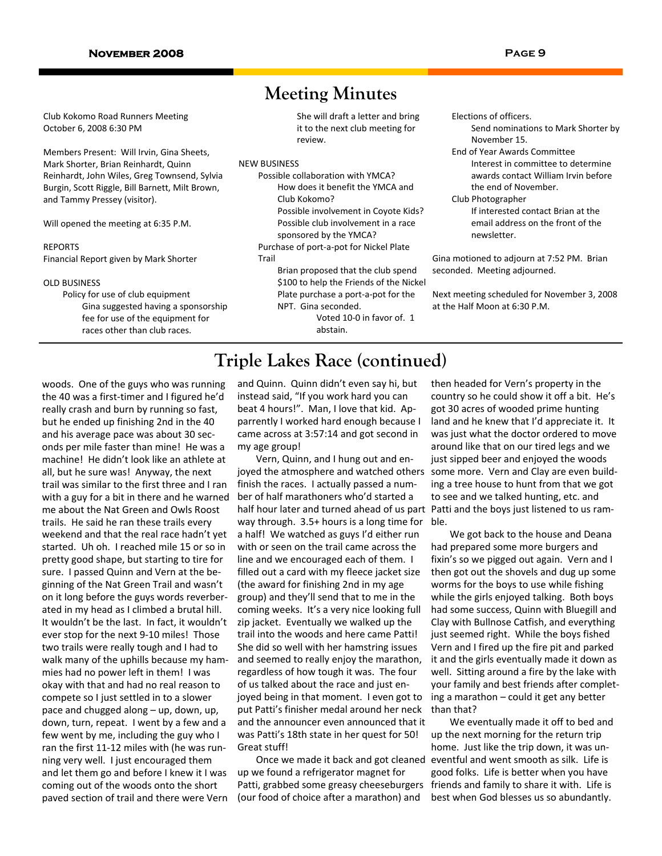# **Meeting Minutes**

Club Kokomo Road Runners Meeting October 6, 2008 6:30 PM

Members Present: Will Irvin, Gina Sheets, Mark Shorter, Brian Reinhardt, Quinn Reinhardt, John Wiles, Greg Townsend, Sylvia Burgin, Scott Riggle, Bill Barnett, Milt Brown, and Tammy Pressey (visitor).

Will opened the meeting at 6:35 P.M.

#### REPORTS

Financial Report given by Mark Shorter

#### OLD BUSINESS

Policy for use of club equipment Gina suggested having a sponsorship fee for use of the equipment for races other than club races.

She will draft a letter and bring it to the next club meeting for review.

### NEW BUSINESS

Possible collaboration with YMCA? How does it benefit the YMCA and Club Kokomo?

Possible involvement in Coyote Kids?

Possible club involvement in a race

sponsored by the YMCA? Purchase of port‐a‐pot for Nickel Plate

Trail

Brian proposed that the club spend \$100 to help the Friends of the Nickel Plate purchase a port‐a‐pot for the NPT. Gina seconded.

Voted 10‐0 in favor of. 1 abstain.

Elections of officers.

- Send nominations to Mark Shorter by November 15.
- End of Year Awards Committee Interest in committee to determine awards contact William Irvin before the end of November.

Club Photographer

If interested contact Brian at the email address on the front of the newsletter.

Gina motioned to adjourn at 7:52 PM. Brian seconded. Meeting adjourned.

Next meeting scheduled for November 3, 2008 at the Half Moon at 6:30 P.M.

# **Triple Lakes Race (continued)**

woods. One of the guys who was running the 40 was a first‐timer and I figured he'd really crash and burn by running so fast, but he ended up finishing 2nd in the 40 and his average pace was about 30 sec‐ onds per mile faster than mine! He was a machine! He didn't look like an athlete at all, but he sure was! Anyway, the next trail was similar to the first three and I ran with a guy for a bit in there and he warned me about the Nat Green and Owls Roost trails. He said he ran these trails every weekend and that the real race hadn't yet started. Uh oh. I reached mile 15 or so in pretty good shape, but starting to tire for sure. I passed Quinn and Vern at the be‐ ginning of the Nat Green Trail and wasn't on it long before the guys words reverber‐ ated in my head as I climbed a brutal hill. It wouldn't be the last. In fact, it wouldn't ever stop for the next 9‐10 miles! Those two trails were really tough and I had to walk many of the uphills because my ham‐ mies had no power left in them! I was okay with that and had no real reason to compete so I just settled in to a slower pace and chugged along – up, down, up, down, turn, repeat. I went by a few and a few went by me, including the guy who I ran the first 11‐12 miles with (he was run‐ ning very well. I just encouraged them and let them go and before I knew it I was coming out of the woods onto the short paved section of trail and there were Vern

and Quinn. Quinn didn't even say hi, but instead said, "If you work hard you can beat 4 hours!". Man, I love that kid. Ap‐ parrently I worked hard enough because I came across at 3:57:14 and got second in my age group!

Vern, Quinn, and I hung out and en‐ joyed the atmosphere and watched others finish the races. I actually passed a num‐ ber of half marathoners who'd started a half hour later and turned ahead of us part way through. 3.5+ hours is a long time for a half! We watched as guys I'd either run with or seen on the trail came across the line and we encouraged each of them. I filled out a card with my fleece jacket size (the award for finishing 2nd in my age group) and they'll send that to me in the coming weeks. It's a very nice looking full zip jacket. Eventually we walked up the trail into the woods and here came Patti! She did so well with her hamstring issues and seemed to really enjoy the marathon, regardless of how tough it was. The four of us talked about the race and just en‐ joyed being in that moment. I even got to put Patti's finisher medal around her neck and the announcer even announced that it was Patti's 18th state in her quest for 50! Great stuff!

Once we made it back and got cleaned up we found a refrigerator magnet for Patti, grabbed some greasy cheeseburgers (our food of choice after a marathon) and

then headed for Vern's property in the country so he could show it off a bit. He's got 30 acres of wooded prime hunting land and he knew that I'd appreciate it. It was just what the doctor ordered to move around like that on our tired legs and we just sipped beer and enjoyed the woods some more. Vern and Clay are even build‐ ing a tree house to hunt from that we got to see and we talked hunting, etc. and Patti and the boys just listened to us ram‐ ble.

We got back to the house and Deana had prepared some more burgers and fixin's so we pigged out again. Vern and I then got out the shovels and dug up some worms for the boys to use while fishing while the girls enjoyed talking. Both boys had some success, Quinn with Bluegill and Clay with Bullnose Catfish, and everything just seemed right. While the boys fished Vern and I fired up the fire pit and parked it and the girls eventually made it down as well. Sitting around a fire by the lake with your family and best friends after complet‐ ing a marathon – could it get any better than that?

We eventually made it off to bed and up the next morning for the return trip home. Just like the trip down, it was un‐ eventful and went smooth as silk. Life is good folks. Life is better when you have friends and family to share it with. Life is best when God blesses us so abundantly.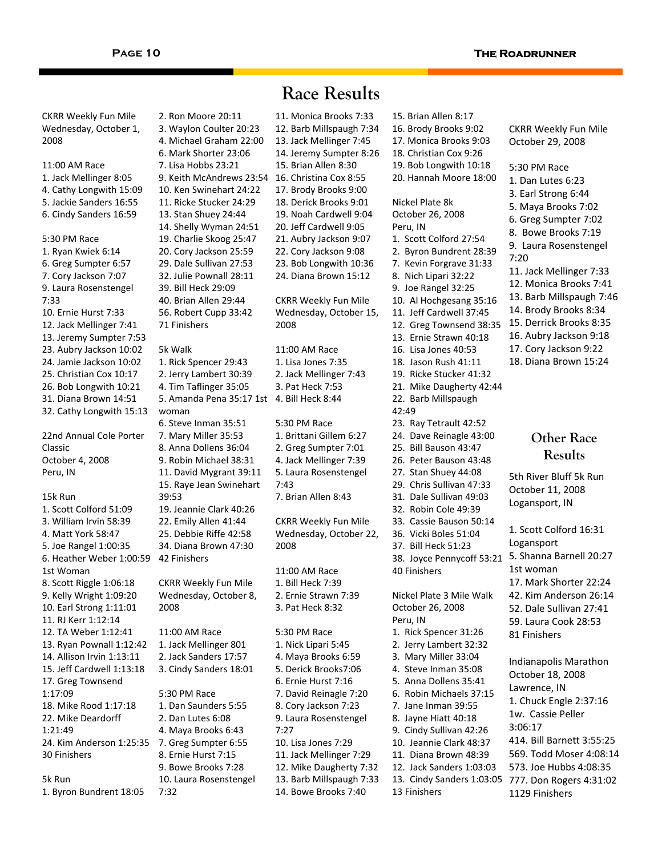# **Race Results**

2. Ron Moore 20:11 3. Waylon Coulter 20:23 4. Michael Graham 22:00 6. Mark Shorter 23:06 7. Lisa Hobbs 23:21 9. Keith McAndrews 23:54 16. Christina Cox 8:55 10. Ken Swinehart 24:22 11. Ricke Stucker 24:29 13. Stan Shuey 24:44 14. Shelly Wyman 24:51 19. Charlie Skoog 25:47 20. Cory Jackson 25:59 29. Dale Sullivan 27:53 32. Julie Pownall 28:11 39. Bill Heck 29:09 40. Brian Allen 29:44 56. Robert Cupp 33:42 71 Finishers 5k Walk 1. Rick Spencer 29:43 2. Jerry Lambert 30:39 4. Tim Taflinger 35:05 5. Amanda Pena 35:17 1st 4. Bill Heck 8:44 woman 6. Steve Inman 35:51 7. Mary Miller 35:53 8. Anna Dollens 36:04 9. Robin Michael 38:31 11. David Mygrant 39:11 15. Raye Jean Swinehart 39:53 19. Jeannie Clark 40:26 22. Emily Allen 41:44 25. Debbie Riffe 42:58 34. Diana Brown 47:30 42 Finishers CKRR Weekly Fun Mile Wednesday, October 8, 2008 11:00 AM Race 1. Jack Mellinger 801 2. Jack Sanders 17:57 3. Cindy Sanders 18:01 5:30 PM Race 1. Dan Saunders 5:55 2. Dan Lutes 6:08 4. Maya Brooks 6:43 7. Greg Sumpter 6:55 8. Ernie Hurst 7:15 9. Bowe Brooks 7:28 10. Laura Rosenstengel 7:32 11. Monica Brooks 7:33 12. Barb Millspaugh 7:34 13. Jack Mellinger 7:45 14. Jeremy Sumpter 8:26 15. Brian Allen 8:30 17. Brody Brooks 9:00 18. Derick Brooks 9:01 19. Noah Cardwell 9:04 20. Jeff Cardwell 9:05 21. Aubry Jackson 9:07 22. Cory Jackson 9:08 23. Bob Longwith 10:36 24. Diana Brown 15:12 CKRR Weekly Fun Mile Wednesday, October 15, 2008 11:00 AM Race 1. Lisa Jones 7:35 2. Jack Mellinger 7:43 3. Pat Heck 7:53 5:30 PM Race 1. Brittani Gillem 6:27 2. Greg Sumpter 7:01 4. Jack Mellinger 7:39 5. Laura Rosenstengel 7:43 7. Brian Allen 8:43 CKRR Weekly Fun Mile Wednesday, October 22, 2008 11:00 AM Race 1. Bill Heck 7:39 2. Ernie Strawn 7:39 3. Pat Heck 8:32 5:30 PM Race 1. Nick Lipari 5:45 4. Maya Brooks 6:59 5. Derick Brooks7:06 6. Ernie Hurst 7:16 7. David Reinagle 7:20 8. Cory Jackson 7:23 9. Laura Rosenstengel 7:27 10. Lisa Jones 7:29 11. Jack Mellinger 7:29 12. Mike Daugherty 7:32 13. Barb Millspaugh 7:33 14. Bowe Brooks 7:40 CKRR Weekly Fun Mile Wednesday, October 1, 2008 11:00 AM Race 1. Jack Mellinger 8:05 4. Cathy Longwith 15:09 5. Jackie Sanders 16:55 6. Cindy Sanders 16:59 5:30 PM Race 1. Ryan Kwiek 6:14 6. Greg Sumpter 6:57 7. Cory Jackson 7:07 9. Laura Rosenstengel 7:33 10. Ernie Hurst 7:33 12. Jack Mellinger 7:41 13. Jeremy Sumpter 7:53 23. Aubry Jackson 10:02 24. Jamie Jackson 10:02 25. Christian Cox 10:17 26. Bob Longwith 10:21 31. Diana Brown 14:51 32. Cathy Longwith 15:13 22nd Annual Cole Porter Classic October 4, 2008 Peru, IN 15k Run 1. Scott Colford 51:09 3. William Irvin 58:39 4. Matt York 58:47 5. Joe Rangel 1:00:35 6. Heather Weber 1:00:59 1st Woman 8. Scott Riggle 1:06:18 9. Kelly Wright 1:09:20 10. Earl Strong 1:11:01 11. RJ Kerr 1:12:14 12. TA Weber 1:12:41 13. Ryan Pownall 1:12:42 14. Allison Irvin 1:13:11 15. Jeff Cardwell 1:13:18 17. Greg Townsend 1:17:09 18. Mike Rood 1:17:18 22. Mike Deardorff 1:21:49 24. Kim Anderson 1:25:35 30 Finishers 5k Run 1. Byron Bundrent 18:05

15. Brian Allen 8:17 16. Brody Brooks 9:02 17. Monica Brooks 9:03 18. Christian Cox 9:26 19. Bob Longwith 10:18 20. Hannah Moore 18:00 Nickel Plate 8k October 26, 2008 Peru, IN 1. Scott Colford 27:54 2. Byron Bundrent 28:39 7. Kevin Forgrave 31:33 8. Nich Lipari 32:22 9. Joe Rangel 32:25 10. Al Hochgesang 35:16 11. Jeff Cardwell 37:45 12. Greg Townsend 38:35 13. Ernie Strawn 40:18 16. Lisa Jones 40:53 18. Jason Rush 41:11 19. Ricke Stucker 41:32 21. Mike Daugherty 42:44 22. Barb Millspaugh 42:49 23. Ray Tetrault 42:52 24. Dave Reinagle 43:00 25. Bill Bauson 43:47 26. Peter Bauson 43:48 27. Stan Shuey 44:08 29. Chris Sullivan 47:33 31. Dale Sullivan 49:03 32. Robin Cole 49:39 33. Cassie Bauson 50:14 36. Vicki Boles 51:04 37. Bill Heck 51:23 38. Joyce Pennycoff 53:21 40 Finishers Nickel Plate 3 Mile Walk October 26, 2008 Peru, IN 1. Rick Spencer 31:26 2. Jerry Lambert 32:32 3. Mary Miller 33:04 4. Steve Inman 35:08 5. Anna Dollens 35:41 6. Robin Michaels 37:15 7. Jane Inman 39:55 8. Jayne Hiatt 40:18 9. Cindy Sullivan 42:26 10. Jeannie Clark 48:37 11. Diana Brown 48:39 12. Jack Sanders 1:03:03 13 Finishers

CKRR Weekly Fun Mile October 29, 2008 5:30 PM Race 1. Dan Lutes 6:23 3. Earl Strong 6:44 5. Maya Brooks 7:02 6. Greg Sumpter 7:02 8. Bowe Brooks 7:19 9. Laura Rosenstengel 7:20 11. Jack Mellinger 7:33 12. Monica Brooks 7:41 13. Barb Millspaugh 7:46 14. Brody Brooks 8:34 15. Derrick Brooks 8:35 16. Aubry Jackson 9:18 17. Cory Jackson 9:22 18. Diana Brown 15:24

# **Other Race Results**

5th River Bluff 5k Run October 11, 2008 Logansport, IN

13. Cindy Sanders 1:03:05 777. Don Rogers 4:31:02 1. Scott Colford 16:31 Logansport 5. Shanna Barnell 20:27 1st woman 17. Mark Shorter 22:24 42. Kim Anderson 26:14 52. Dale Sullivan 27:41 59. Laura Cook 28:53 81 Finishers Indianapolis Marathon October 18, 2008 Lawrence, IN 1. Chuck Engle 2:37:16 1w. Cassie Peller 3:06:17 414. Bill Barnett 3:55:25 569. Todd Moser 4:08:14 573. Joe Hubbs 4:08:35 1129 Finishers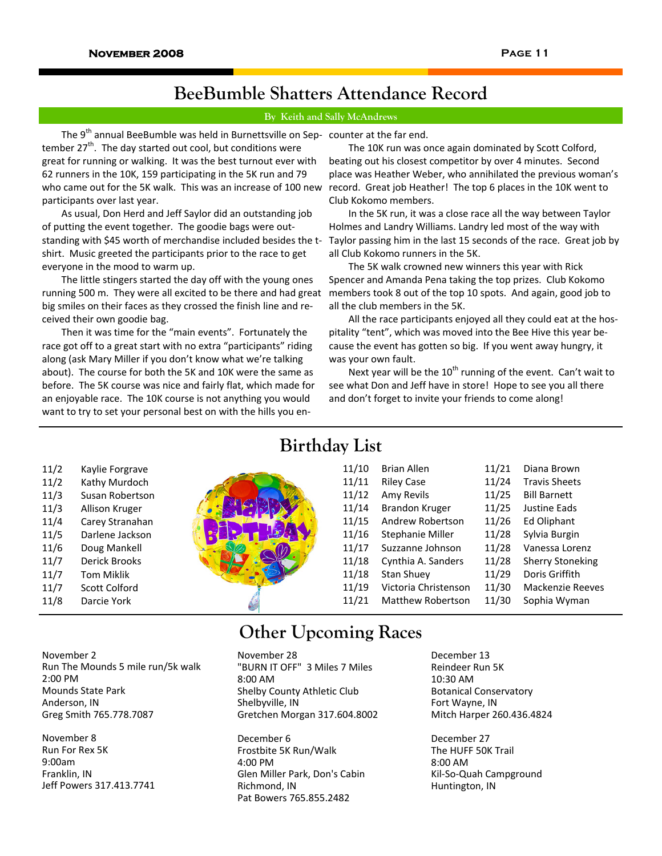# **BeeBumble Shatters Attendance Record**

# **By Keith and Sally McAndrews**

The 9<sup>th</sup> annual BeeBumble was held in Burnettsville on Sep- counter at the far end. tember  $27^{th}$ . The day started out cool, but conditions were great for running or walking. It was the best turnout ever with 62 runners in the 10K, 159 participating in the 5K run and 79 who came out for the 5K walk. This was an increase of 100 new record. Great job Heather! The top 6 places in the 10K went to participants over last year.

As usual, Don Herd and Jeff Saylor did an outstanding job of putting the event together. The goodie bags were out‐ standing with \$45 worth of merchandise included besides the t‐ shirt. Music greeted the participants prior to the race to get everyone in the mood to warm up.

The little stingers started the day off with the young ones running 500 m. They were all excited to be there and had great big smiles on their faces as they crossed the finish line and re‐ ceived their own goodie bag.

Then it was time for the "main events". Fortunately the race got off to a great start with no extra "participants" riding along (ask Mary Miller if you don't know what we're talking about). The course for both the 5K and 10K were the same as before. The 5K course was nice and fairly flat, which made for an enjoyable race. The 10K course is not anything you would want to try to set your personal best on with the hills you en‐

The 10K run was once again dominated by Scott Colford, beating out his closest competitor by over 4 minutes. Second place was Heather Weber, who annihilated the previous woman's Club Kokomo members.

In the 5K run, it was a close race all the way between Taylor Holmes and Landry Williams. Landry led most of the way with Taylor passing him in the last 15 seconds of the race. Great job by all Club Kokomo runners in the 5K.

The 5K walk crowned new winners this year with Rick Spencer and Amanda Pena taking the top prizes. Club Kokomo members took 8 out of the top 10 spots. And again, good job to all the club members in the 5K.

All the race participants enjoyed all they could eat at the hos‐ pitality "tent", which was moved into the Bee Hive this year be‐ cause the event has gotten so big. If you went away hungry, it was your own fault.

Next year will be the  $10^{th}$  running of the event. Can't wait to see what Don and Jeff have in store! Hope to see you all there and don't forget to invite your friends to come along!

# **Birthday List**

11/10 Brian Allen

|    | 11/10 | <b>Brian Allen</b>       | 11/21 | Diana Brown             |
|----|-------|--------------------------|-------|-------------------------|
|    | 11/11 | <b>Riley Case</b>        | 11/24 | <b>Travis Sheets</b>    |
|    | 11/12 | Amy Revils               | 11/25 | <b>Bill Barnett</b>     |
|    | 11/14 | <b>Brandon Kruger</b>    | 11/25 | Justine Eads            |
|    | 11/15 | Andrew Robertson         | 11/26 | Ed Oliphant             |
|    | 11/16 | Stephanie Miller         | 11/28 | Sylvia Burgin           |
| r, | 11/17 | Suzzanne Johnson         | 11/28 | Vanessa Lorenz          |
|    | 11/18 | Cynthia A. Sanders       | 11/28 | <b>Sherry Stoneking</b> |
|    | 11/18 | <b>Stan Shuey</b>        | 11/29 | Doris Griffith          |
|    | 11/19 | Victoria Christenson     | 11/30 | <b>Mackenzie Reeves</b> |
|    | 11/21 | <b>Matthew Robertson</b> | 11/30 | Sophia Wyman            |

11/2 Kaylie Forgrave 11/2 Kathy Murdoch

- 11/3 Susan Robertson
- 11/3 Allison Kruger
- 11/4 Carey Stranahan 11/5 Darlene Jackson
- 11/6 Doug Mankell
- 11/7 Derick Brooks
- 11/7 Tom Miklik
- 11/7 Scott Colford
- 11/8 Darcie York

Run The Mounds 5 mile run/5k walk

November 2

November 8 Run For Rex 5K 9:00am Franklin, IN

Mounds State Park Anderson, IN

Greg Smith 765.778.7087

Jeff Powers 317.413.7741

2:00 PM

November 28 **Other Upcoming Races** 

"BURN IT OFF" 3 Miles 7 Miles 8:00 AM Shelby County Athletic Club Shelbyville, IN Gretchen Morgan 317.604.8002

December 6 Frostbite 5K Run/Walk 4:00 PM Glen Miller Park, Don's Cabin Richmond, IN Pat Bowers 765.855.2482

December 13 Reindeer Run 5K 10:30 AM Botanical Conservatory Fort Wayne, IN Mitch Harper 260.436.4824

December 27 The HUFF 50K Trail 8:00 AM Kil‐So‐Quah Campground Huntington, IN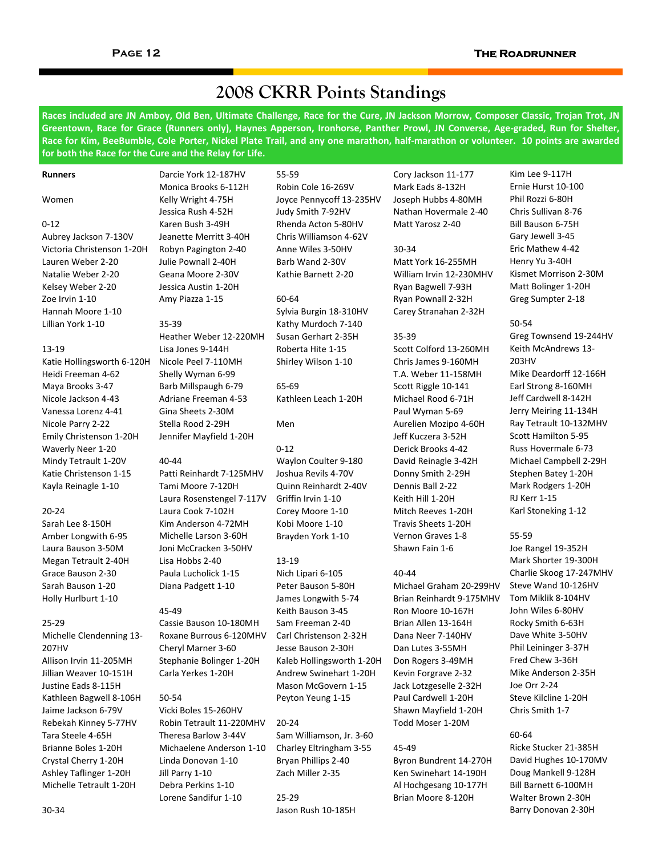# **2008 CKRR Points Standings**

Races included are JN Amboy, Old Ben, Ultimate Challenge, Race for the Cure, JN Jackson Morrow, Composer Classic, Trojan Trot, JN Greentown, Race for Grace (Runners only), Haynes Apperson, Ironhorse, Panther Prowl, JN Converse, Age-graded, Run for Shelter, Race for Kim, BeeBumble, Cole Porter, Nickel Plate Trail, and any one marathon, half-marathon or volunteer. 10 points are awarded **for both the Race for the Cure and the Relay for Life.**

### **Runners**

### Women

#### 0‐12

Aubrey Jackson 7‐130V Victoria Christenson 1‐20H Lauren Weber 2‐20 Natalie Weber 2‐20 Kelsey Weber 2‐20 Zoe Irvin 1‐10 Hannah Moore 1‐10 Lillian York 1‐10

#### 13‐19

Katie Hollingsworth 6‐120H Heidi Freeman 4‐62 Maya Brooks 3‐47 Nicole Jackson 4‐43 Vanessa Lorenz 4‐41 Nicole Parry 2‐22 Emily Christenson 1‐20H Waverly Neer 1‐20 Mindy Tetrault 1‐20V Katie Christenson 1‐15 Kayla Reinagle 1‐10

## 20‐24

Sarah Lee 8‐150H Amber Longwith 6‐95 Laura Bauson 3‐50M Megan Tetrault 2‐40H Grace Bauson 2‐30 Sarah Bauson 1‐20 Holly Hurlburt 1‐10

### 25‐29

Michelle Clendenning 13‐ 207HV Allison Irvin 11‐205MH Jillian Weaver 10‐151H Justine Eads 8‐115H Kathleen Bagwell 8‐106H Jaime Jackson 6‐79V Rebekah Kinney 5‐77HV Tara Steele 4‐65H Brianne Boles 1‐20H Crystal Cherry 1‐20H Ashley Taflinger 1‐20H Michelle Tetrault 1‐20H

Kelly Wright 4‐75H Jessica Rush 4‐52H Karen Bush 3‐49H Jeanette Merritt 3‐40H Robyn Pagington 2‐40 Julie Pownall 2‐40H Geana Moore 2‐30V Jessica Austin 1‐20H Amy Piazza 1‐15

Darcie York 12‐187HV Monica Brooks 6‐112H

#### 35‐39

Heather Weber 12‐220MH Lisa Jones 9‐144H Nicole Peel 7‐110MH Shelly Wyman 6‐99 Barb Millspaugh 6‐79 Adriane Freeman 4‐53 Gina Sheets 2‐30M Stella Rood 2‐29H Jennifer Mayfield 1‐20H

### 40‐44

Patti Reinhardt 7‐125MHV Tami Moore 7‐120H Laura Rosenstengel 7‐117V Laura Cook 7‐102H Kim Anderson 4‐72MH Michelle Larson 3‐60H Joni McCracken 3‐50HV Lisa Hobbs 2‐40 Paula Lucholick 1‐15 Diana Padgett 1‐10

#### 45‐49

Cassie Bauson 10‐180MH Roxane Burrous 6‐120MHV Cheryl Marner 3‐60 Stephanie Bolinger 1‐20H Carla Yerkes 1‐20H

#### 50‐54

Vicki Boles 15‐260HV Robin Tetrault 11‐220MHV Theresa Barlow 3‐44V Michaelene Anderson 1‐10 Linda Donovan 1‐10 Jill Parry 1‐10 Debra Perkins 1‐10 Lorene Sandifur 1‐10

55‐59 Robin Cole 16‐269V Joyce Pennycoff 13‐235HV Judy Smith 7‐92HV Rhenda Acton 5‐80HV Chris Williamson 4‐62V Anne Wiles 3‐50HV Barb Wand 2‐30V Kathie Barnett 2‐20

## 60‐64

Sylvia Burgin 18‐310HV Kathy Murdoch 7‐140 Susan Gerhart 2‐35H Roberta Hite 1‐15 Shirley Wilson 1‐10

65‐69 Kathleen Leach 1‐20H

Men

## $0 - 12$

Waylon Coulter 9‐180 Joshua Revils 4‐70V Quinn Reinhardt 2‐40V Griffin Irvin 1‐10 Corey Moore 1‐10 Kobi Moore 1‐10 Brayden York 1‐10

## 13‐19

Nich Lipari 6‐105 Peter Bauson 5‐80H James Longwith 5‐74 Keith Bauson 3‐45 Sam Freeman 2‐40 Carl Christenson 2‐32H Jesse Bauson 2‐30H Kaleb Hollingsworth 1‐20H Andrew Swinehart 1‐20H Mason McGovern 1‐15 Peyton Yeung 1‐15

20‐24 Sam Williamson, Jr. 3‐60 Charley Eltringham 3‐55 Bryan Phillips 2‐40 Zach Miller 2‐35

25‐29 Jason Rush 10‐185H Cory Jackson 11‐177 Mark Eads 8‐132H Joseph Hubbs 4‐80MH Nathan Hovermale 2‐40 Matt Yarosz 2‐40

## 30‐34 Matt York 16‐255MH William Irvin 12‐230MHV Ryan Bagwell 7‐93H Ryan Pownall 2‐32H Carey Stranahan 2‐32H

## 35‐39

Scott Colford 13‐260MH Chris James 9‐160MH T.A. Weber 11‐158MH Scott Riggle 10‐141 Michael Rood 6‐71H Paul Wyman 5‐69 Aurelien Mozipo 4‐60H Jeff Kuczera 3‐52H Derick Brooks 4‐42 David Reinagle 3‐42H Donny Smith 2‐29H Dennis Ball 2‐22 Keith Hill 1‐20H Mitch Reeves 1‐20H Travis Sheets 1‐20H Vernon Graves 1‐8 Shawn Fain 1‐6

## 40‐44

Michael Graham 20‐299HV Brian Reinhardt 9‐175MHV Ron Moore 10‐167H Brian Allen 13‐164H Dana Neer 7‐140HV Dan Lutes 3‐55MH Don Rogers 3‐49MH Kevin Forgrave 2‐32 Jack Lotzgeselle 2‐32H Paul Cardwell 1‐20H Shawn Mayfield 1‐20H Todd Moser 1‐20M

## 45‐49

Byron Bundrent 14‐270H Ken Swinehart 14‐190H Al Hochgesang 10‐177H Brian Moore 8‐120H

Kim Lee 9‐117H Ernie Hurst 10‐100 Phil Rozzi 6‐80H Chris Sullivan 8‐76 Bill Bauson 6‐75H Gary Jewell 3‐45 Eric Mathew 4‐42 Henry Yu 3‐40H Kismet Morrison 2‐30M Matt Bolinger 1‐20H Greg Sumpter 2‐18

# 50‐54

Greg Townsend 19‐244HV Keith McAndrews 13‐ 203HV Mike Deardorff 12‐166H Earl Strong 8‐160MH Jeff Cardwell 8‐142H Jerry Meiring 11‐134H Ray Tetrault 10‐132MHV Scott Hamilton 5‐95 Russ Hovermale 6‐73 Michael Campbell 2‐29H Stephen Batey 1‐20H Mark Rodgers 1‐20H RJ Kerr 1‐15 Karl Stoneking 1‐12

## 55‐59

Joe Rangel 19‐352H Mark Shorter 19‐300H Charlie Skoog 17‐247MHV Steve Wand 10‐126HV Tom Miklik 8‐104HV John Wiles 6‐80HV Rocky Smith 6‐63H Dave White 3‐50HV Phil Leininger 3‐37H Fred Chew 3‐36H Mike Anderson 2‐35H Joe Orr 2‐24 Steve Kilcline 1‐20H Chris Smith 1‐7

## 60‐64

Ricke Stucker 21‐385H David Hughes 10‐170MV Doug Mankell 9‐128H Bill Barnett 6‐100MH Walter Brown 2‐30H Barry Donovan 2‐30H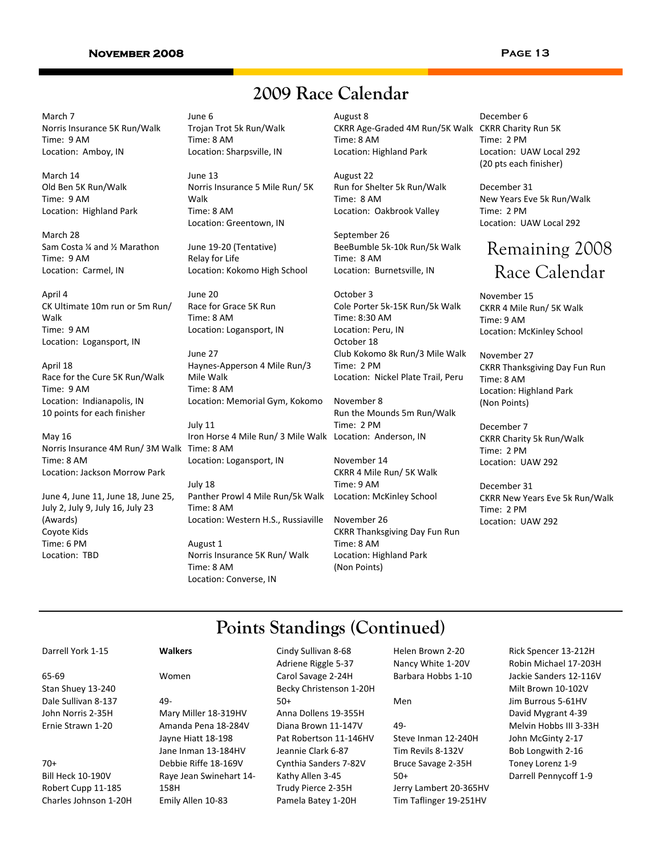## **Page 13**

# **2009 Race Calendar**

March 7 Norris Insurance 5K Run/Walk Time: 9 AM Location: Amboy, IN

March 14 Old Ben 5K Run/Walk Time: 9 AM Location: Highland Park

March 28 Sam Costa ¼ and ½ Marathon Time: 9 AM Location: Carmel, IN

April 4 CK Ultimate 10m run or 5m Run/ Walk Time: 9 AM Location: Logansport, IN

April 18 Race for the Cure 5K Run/Walk Time: 9 AM Location: Indianapolis, IN 10 points for each finisher

Norris Insurance 4M Run/ 3M Walk Time: 8 AM May 16 Time: 8 AM Location: Jackson Morrow Park

June 4, June 11, June 18, June 25, July 2, July 9, July 16, July 23 (Awards) Coyote Kids Time: 6 PM Location: TBD

June 6 Trojan Trot 5k Run/Walk Time: 8 AM Location: Sharpsville, IN

June 13 Norris Insurance 5 Mile Run/ 5K Walk Time: 8 AM Location: Greentown, IN

June 19‐20 (Tentative) Relay for Life Location: Kokomo High School

June 20 Race for Grace 5K Run Time: 8 AM Location: Logansport, IN

June 27 Haynes‐Apperson 4 Mile Run/3 Mile Walk Time: 8 AM Location: Memorial Gym, Kokomo

July 11 Iron Horse 4 Mile Run/ 3 Mile Walk Location: Anderson, IN Location: Logansport, IN

July 18 Panther Prowl 4 Mile Run/5k Walk Time: 8 AM Location: Western H.S., Russiaville

August 1 Norris Insurance 5K Run/ Walk Time: 8 AM Location: Converse, IN

August 8 CKRR Age‐Graded 4M Run/5K Walk CKRR Charity Run 5K Time: 8 AM Location: Highland Park

August 22 Run for Shelter 5k Run/Walk Time: 8 AM Location: Oakbrook Valley

September 26 BeeBumble 5k‐10k Run/5k Walk Time: 8 AM Location: Burnetsville, IN

October 3 Cole Porter 5k‐15K Run/5k Walk Time: 8:30 AM Location: Peru, IN October 18 Club Kokomo 8k Run/3 Mile Walk Time: 2 PM Location: Nickel Plate Trail, Peru

November 8 Run the Mounds 5m Run/Walk Time: 2 PM

November 14 CKRR 4 Mile Run/ 5K Walk Time: 9 AM Location: McKinley School

November 26 CKRR Thanksgiving Day Fun Run Time: 8 AM Location: Highland Park (Non Points)

December 6 Time: 2 PM Location: UAW Local 292 (20 pts each finisher)

December 31 New Years Eve 5k Run/Walk Time: 2 PM Location: UAW Local 292

# Remaining 2008 Race Calendar

November 15 CKRR 4 Mile Run/ 5K Walk Time: 9 AM Location: McKinley School

November 27 CKRR Thanksgiving Day Fun Run Time: 8 AM Location: Highland Park (Non Points)

December 7 CKRR Charity 5k Run/Walk Time: 2 PM Location: UAW 292

December 31 CKRR New Years Eve 5k Run/Walk Time: 2 PM Location: UAW 292

# **Points Standings (Continued)**

Cindy Sullivan 8‐68

Darrell York 1‐15

65‐69 Stan Shuey 13‐240 Dale Sullivan 8‐137 John Norris 2‐35H Ernie Strawn 1‐20

70+

Bill Heck 10‐190V Robert Cupp 11‐185 Charles Johnson 1‐20H

## **Walkers**

# Women

49‐ Mary Miller 18‐319HV Amanda Pena 18‐284V Jayne Hiatt 18‐198 Jane Inman 13‐184HV Debbie Riffe 18‐169V Raye Jean Swinehart 14‐ 158H Emily Allen 10‐83

Adriene Riggle 5‐37 Carol Savage 2‐24H Becky Christenson 1‐20H 50+ Anna Dollens 19‐355H Diana Brown 11‐147V Pat Robertson 11‐146HV Jeannie Clark 6‐87 Cynthia Sanders 7‐82V Kathy Allen 3‐45 Trudy Pierce 2‐35H Pamela Batey 1‐20H

Helen Brown 2‐20 Nancy White 1‐20V Barbara Hobbs 1‐10

### Men

49‐

Steve Inman 12‐240H Tim Revils 8‐132V Bruce Savage 2‐35H 50+ Jerry Lambert 20‐365HV Tim Taflinger 19‐251HV

Rick Spencer 13‐212H Robin Michael 17‐203H Jackie Sanders 12‐116V Milt Brown 10‐102V Jim Burrous 5‐61HV David Mygrant 4‐39 Melvin Hobbs III 3‐33H John McGinty 2‐17 Bob Longwith 2‐16 Toney Lorenz 1‐9 Darrell Pennycoff 1‐9